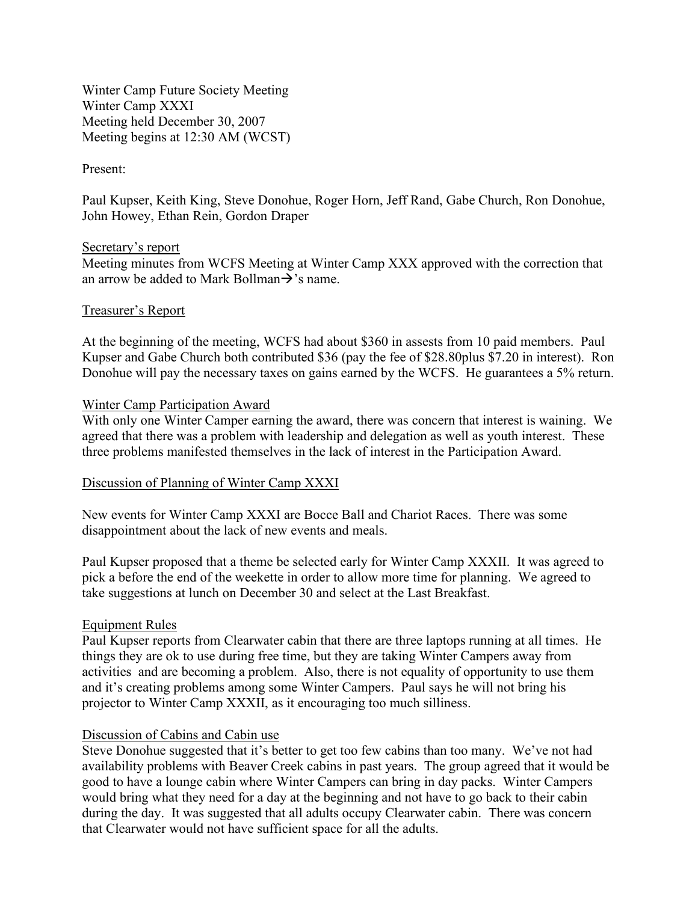Winter Camp Future Society Meeting Winter Camp XXXI Meeting held December 30, 2007 Meeting begins at 12:30 AM (WCST)

### Present:

Paul Kupser, Keith King, Steve Donohue, Roger Horn, Jeff Rand, Gabe Church, Ron Donohue, John Howey, Ethan Rein, Gordon Draper

### Secretary's report

Meeting minutes from WCFS Meeting at Winter Camp XXX approved with the correction that an arrow be added to Mark Bollman $\rightarrow$ 's name.

### Treasurer's Report

At the beginning of the meeting, WCFS had about \$360 in assests from 10 paid members. Paul Kupser and Gabe Church both contributed \$36 (pay the fee of \$28.80plus \$7.20 in interest). Ron Donohue will pay the necessary taxes on gains earned by the WCFS. He guarantees a 5% return.

### Winter Camp Participation Award

With only one Winter Camper earning the award, there was concern that interest is waining. We agreed that there was a problem with leadership and delegation as well as youth interest. These three problems manifested themselves in the lack of interest in the Participation Award.

# Discussion of Planning of Winter Camp XXXI

New events for Winter Camp XXXI are Bocce Ball and Chariot Races. There was some disappointment about the lack of new events and meals.

Paul Kupser proposed that a theme be selected early for Winter Camp XXXII. It was agreed to pick a before the end of the weekette in order to allow more time for planning. We agreed to take suggestions at lunch on December 30 and select at the Last Breakfast.

# Equipment Rules

Paul Kupser reports from Clearwater cabin that there are three laptops running at all times. He things they are ok to use during free time, but they are taking Winter Campers away from activities and are becoming a problem. Also, there is not equality of opportunity to use them and it's creating problems among some Winter Campers. Paul says he will not bring his projector to Winter Camp XXXII, as it encouraging too much silliness.

#### Discussion of Cabins and Cabin use

Steve Donohue suggested that it's better to get too few cabins than too many. We've not had availability problems with Beaver Creek cabins in past years. The group agreed that it would be good to have a lounge cabin where Winter Campers can bring in day packs. Winter Campers would bring what they need for a day at the beginning and not have to go back to their cabin during the day. It was suggested that all adults occupy Clearwater cabin. There was concern that Clearwater would not have sufficient space for all the adults.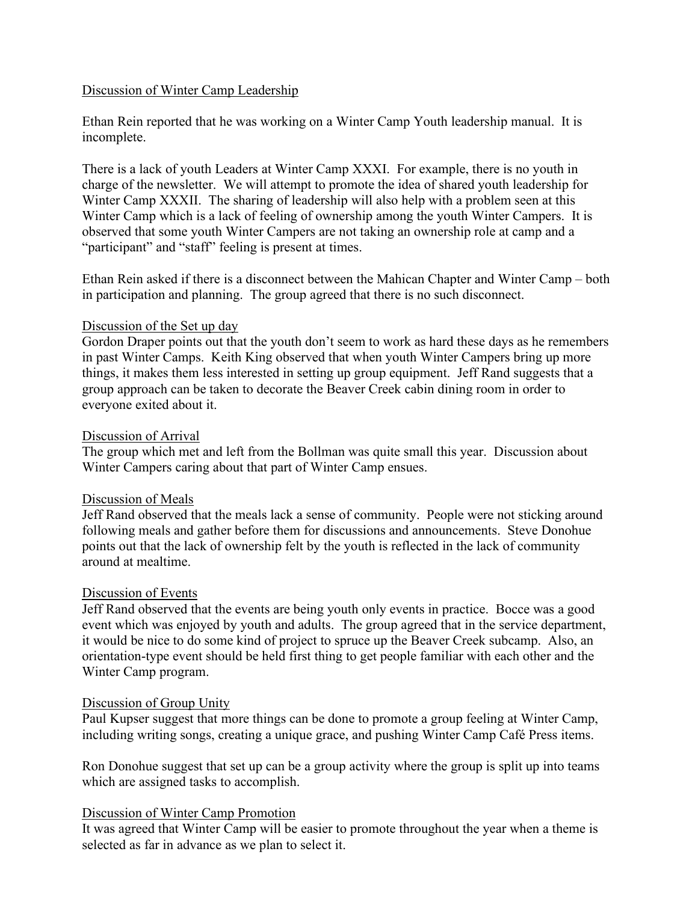# Discussion of Winter Camp Leadership

Ethan Rein reported that he was working on a Winter Camp Youth leadership manual. It is incomplete.

There is a lack of youth Leaders at Winter Camp XXXI. For example, there is no youth in charge of the newsletter. We will attempt to promote the idea of shared youth leadership for Winter Camp XXXII. The sharing of leadership will also help with a problem seen at this Winter Camp which is a lack of feeling of ownership among the youth Winter Campers. It is observed that some youth Winter Campers are not taking an ownership role at camp and a "participant" and "staff" feeling is present at times.

Ethan Rein asked if there is a disconnect between the Mahican Chapter and Winter Camp – both in participation and planning. The group agreed that there is no such disconnect.

### Discussion of the Set up day

Gordon Draper points out that the youth don't seem to work as hard these days as he remembers in past Winter Camps. Keith King observed that when youth Winter Campers bring up more things, it makes them less interested in setting up group equipment. Jeff Rand suggests that a group approach can be taken to decorate the Beaver Creek cabin dining room in order to everyone exited about it.

### Discussion of Arrival

The group which met and left from the Bollman was quite small this year. Discussion about Winter Campers caring about that part of Winter Camp ensues.

# Discussion of Meals

Jeff Rand observed that the meals lack a sense of community. People were not sticking around following meals and gather before them for discussions and announcements. Steve Donohue points out that the lack of ownership felt by the youth is reflected in the lack of community around at mealtime.

# Discussion of Events

Jeff Rand observed that the events are being youth only events in practice. Bocce was a good event which was enjoyed by youth and adults. The group agreed that in the service department, it would be nice to do some kind of project to spruce up the Beaver Creek subcamp. Also, an orientation-type event should be held first thing to get people familiar with each other and the Winter Camp program.

#### Discussion of Group Unity

Paul Kupser suggest that more things can be done to promote a group feeling at Winter Camp, including writing songs, creating a unique grace, and pushing Winter Camp Café Press items.

Ron Donohue suggest that set up can be a group activity where the group is split up into teams which are assigned tasks to accomplish.

# Discussion of Winter Camp Promotion

It was agreed that Winter Camp will be easier to promote throughout the year when a theme is selected as far in advance as we plan to select it.